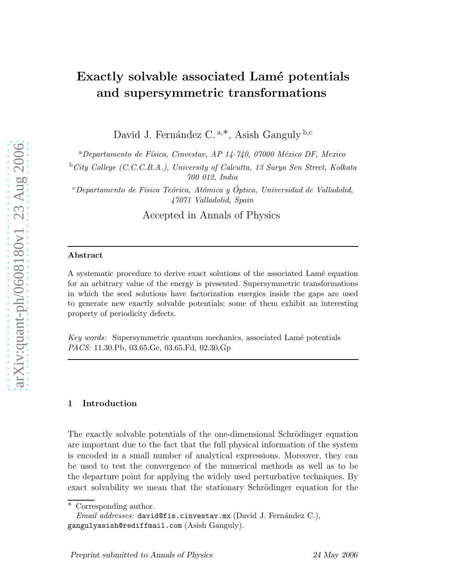# Exactly solvable associated Lamé potentials and supersymmetric transformations

David J. Fernández C.<sup>a,\*</sup>, Asish Ganguly<sup>b,c</sup>

 $a<sup>a</sup> Departmento de Física, Cinvestav, AP 14-740, 07000 México DF, Mexico$ 

<sup>b</sup>City College (C.C.C.B.A.), University of Calcutta, 13 Surya Sen Street, Kolkata 700 012, India

 $c$ Departamento de Física Teórica, Atómica y Óptica, Universidad de Valladolid, 47071 Valladolid, Spain

Accepted in Annals of Physics

### Abstract

A systematic procedure to derive exact solutions of the associated Lamé equation for an arbitrary value of the energy is presented. Supersymmetric transformations in which the seed solutions have factorization energies inside the gaps are used to generate new exactly solvable potentials; some of them exhibit an interesting property of periodicity defects.

Key words: Supersymmetric quantum mechanics, associated Lamé potentials PACS: 11.30.Pb, 03.65.Ge, 03.65.Fd, 02.30.Gp

#### 1 Introduction

The exactly solvable potentials of the one-dimensional Schrödinger equation are important due to the fact that the full physical information of the system is encoded in a small number of analytical expressions. Moreover, they can be used to test the convergence of the numerical methods as well as to be the departure point for applying the widely used perturbative techniques. By exact solvability we mean that the stationary Schrödinger equation for the

∗ Corresponding author.

*Email addresses:* david@fis.cinvestav.mx (David J. Fernández C.), gangulyasish@rediffmail.com (Asish Ganguly).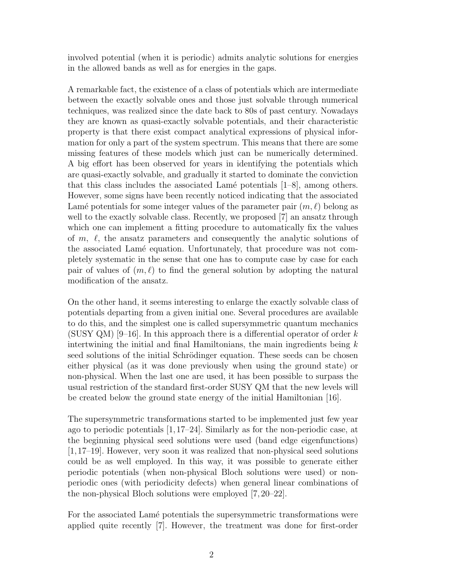involved potential (when it is periodic) admits analytic solutions for energies in the allowed bands as well as for energies in the gaps.

A remarkable fact, the existence of a class of potentials which are intermediate between the exactly solvable ones and those just solvable through numerical techniques, was realized since the date back to 80s of past century. Nowadays they are known as quasi-exactly solvable potentials, and their characteristic property is that there exist compact analytical expressions of physical information for only a part of the system spectrum. This means that there are some missing features of these models which just can be numerically determined. A big effort has been observed for years in identifying the potentials which are quasi-exactly solvable, and gradually it started to dominate the conviction that this class includes the associated Lamé potentials  $[1-8]$ , among others. However, some signs have been recently noticed indicating that the associated Lamé potentials for some integer values of the parameter pair  $(m, \ell)$  belong as well to the exactly solvable class. Recently, we proposed [7] an ansatz through which one can implement a fitting procedure to automatically fix the values of  $m$ ,  $\ell$ , the ansatz parameters and consequently the analytic solutions of the associated Lamé equation. Unfortunately, that procedure was not completely systematic in the sense that one has to compute case by case for each pair of values of  $(m, \ell)$  to find the general solution by adopting the natural modification of the ansatz.

On the other hand, it seems interesting to enlarge the exactly solvable class of potentials departing from a given initial one. Several procedures are available to do this, and the simplest one is called supersymmetric quantum mechanics (SUSY QM)  $|9-16|$ . In this approach there is a differential operator of order k intertwining the initial and final Hamiltonians, the main ingredients being  $k$ seed solutions of the initial Schrödinger equation. These seeds can be chosen either physical (as it was done previously when using the ground state) or non-physical. When the last one are used, it has been possible to surpass the usual restriction of the standard first-order SUSY QM that the new levels will be created below the ground state energy of the initial Hamiltonian [16].

The supersymmetric transformations started to be implemented just few year ago to periodic potentials [1,17–24]. Similarly as for the non-periodic case, at the beginning physical seed solutions were used (band edge eigenfunctions) [1,17–19]. However, very soon it was realized that non-physical seed solutions could be as well employed. In this way, it was possible to generate either periodic potentials (when non-physical Bloch solutions were used) or nonperiodic ones (with periodicity defects) when general linear combinations of the non-physical Bloch solutions were employed [7, 20–22].

For the associated Lamé potentials the supersymmetric transformations were applied quite recently [7]. However, the treatment was done for first-order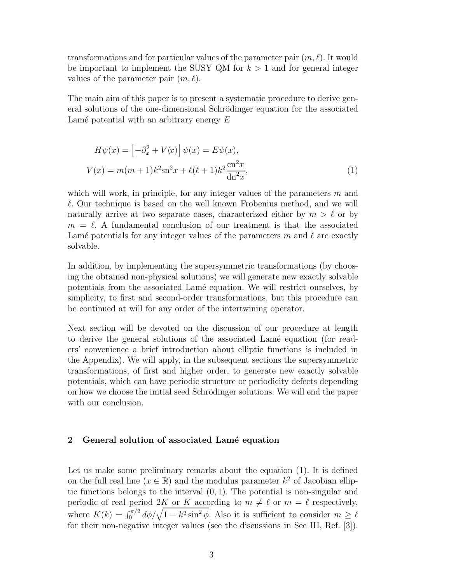transformations and for particular values of the parameter pair  $(m, \ell)$ . It would be important to implement the SUSY QM for  $k > 1$  and for general integer values of the parameter pair  $(m, \ell)$ .

The main aim of this paper is to present a systematic procedure to derive general solutions of the one-dimensional Schrödinger equation for the associated Lamé potential with an arbitrary energy  $E$ 

$$
H\psi(x) = \left[-\partial_x^2 + V(x)\right]\psi(x) = E\psi(x),
$$
  

$$
V(x) = m(m+1)k^2 \operatorname{sn}^2 x + \ell(\ell+1)k^2 \frac{\operatorname{cn}^2 x}{\operatorname{dn}^2 x},
$$
 (1)

which will work, in principle, for any integer values of the parameters  $m$  and  $\ell$ . Our technique is based on the well known Frobenius method, and we will naturally arrive at two separate cases, characterized either by  $m > \ell$  or by  $m = \ell$ . A fundamental conclusion of our treatment is that the associated Lamé potentials for any integer values of the parameters m and  $\ell$  are exactly solvable.

In addition, by implementing the supersymmetric transformations (by choosing the obtained non-physical solutions) we will generate new exactly solvable potentials from the associated Lamé equation. We will restrict ourselves, by simplicity, to first and second-order transformations, but this procedure can be continued at will for any order of the intertwining operator.

Next section will be devoted on the discussion of our procedure at length to derive the general solutions of the associated Lamé equation (for readers' convenience a brief introduction about elliptic functions is included in the Appendix). We will apply, in the subsequent sections the supersymmetric transformations, of first and higher order, to generate new exactly solvable potentials, which can have periodic structure or periodicity defects depending on how we choose the initial seed Schrödinger solutions. We will end the paper with our conclusion.

### 2 General solution of associated Lamé equation

Let us make some preliminary remarks about the equation (1). It is defined on the full real line  $(x \in \mathbb{R})$  and the modulus parameter  $k^2$  of Jacobian elliptic functions belongs to the interval  $(0, 1)$ . The potential is non-singular and periodic of real period 2K or K according to  $m \neq \ell$  or  $m = \ell$  respectively, where  $K(k) = \int_0^{\pi/2} d\phi / \sqrt{1 - k^2 \sin^2 \phi}$ . Also it is sufficient to consider  $m \geq \ell$ for their non-negative integer values (see the discussions in Sec III, Ref. [3]).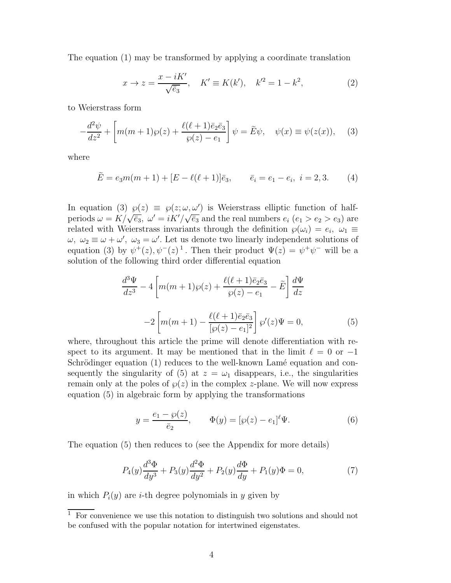The equation (1) may be transformed by applying a coordinate translation

$$
x \to z = \frac{x - iK'}{\sqrt{\bar{e}_3}}, \quad K' \equiv K(k'), \quad k'^2 = 1 - k^2,
$$
 (2)

to Weierstrass form

$$
-\frac{d^2\psi}{dz^2} + \left[m(m+1)\wp(z) + \frac{\ell(\ell+1)\bar{e}_2\bar{e}_3}{\wp(z) - e_1}\right]\psi = \tilde{E}\psi, \quad \psi(x) \equiv \psi(z(x)), \quad (3)
$$

where

$$
\tilde{E} = e_3 m(m+1) + [E - \ell(\ell+1)]\bar{e}_3, \qquad \bar{e}_i = e_1 - e_i, \quad i = 2, 3. \tag{4}
$$

In equation (3)  $\wp(z) \equiv \wp(z; \omega, \omega')$  is Weierstrass elliptic function of halfperiods  $\omega = K/\sqrt{\bar{e}_3}$ ,  $\omega' = iK'/\sqrt{\bar{e}_3}$  and the real numbers  $e_i$   $(e_1 > e_2 > e_3)$  are related with Weierstrass invariants through the definition  $\wp(\omega_i) = e_i, \ \omega_1 \equiv$  $\omega, \ \omega_2 \equiv \omega + \omega', \ \omega_3 = \omega'.$  Let us denote two linearly independent solutions of equation (3) by  $\psi^+(z), \psi^-(z)^1$ . Then their product  $\Psi(z) = \psi^+ \psi^-$  will be a solution of the following third order differential equation

$$
\frac{d^3\Psi}{dz^3} - 4\left[m(m+1)\wp(z) + \frac{\ell(\ell+1)\bar{e}_2\bar{e}_3}{\wp(z) - e_1} - \tilde{E}\right] \frac{d\Psi}{dz}
$$

$$
-2\left[m(m+1) - \frac{\ell(\ell+1)\bar{e}_2\bar{e}_3}{\left[\wp(z) - e_1\right]^2}\right]\wp'(z)\Psi = 0,
$$
(5)

where, throughout this article the prime will denote differentiation with respect to its argument. It may be mentioned that in the limit  $\ell = 0$  or  $-1$ Schrödinger equation (1) reduces to the well-known Lamé equation and consequently the singularity of (5) at  $z = \omega_1$  disappears, i.e., the singularities remain only at the poles of  $\wp(z)$  in the complex z-plane. We will now express equation (5) in algebraic form by applying the transformations

$$
y = \frac{e_1 - \wp(z)}{\bar{e}_2}, \qquad \Phi(y) = [\wp(z) - e_1]^{\ell} \Psi.
$$
 (6)

The equation (5) then reduces to (see the Appendix for more details)

$$
P_4(y)\frac{d^3\Phi}{dy^3} + P_3(y)\frac{d^2\Phi}{dy^2} + P_2(y)\frac{d\Phi}{dy} + P_1(y)\Phi = 0,
$$
\n(7)

in which  $P_i(y)$  are *i*-th degree polynomials in y given by

 $\overline{1}$  For convenience we use this notation to distinguish two solutions and should not be confused with the popular notation for intertwined eigenstates.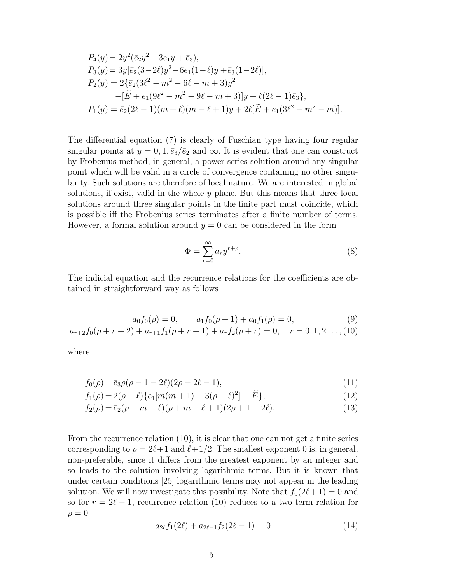$$
P_4(y) = 2y^2(\bar{e}_2y^2 - 3e_1y + \bar{e}_3),
$$
  
\n
$$
P_3(y) = 3y[\bar{e}_2(3-2\ell)y^2 - 6e_1(1-\ell)y + \bar{e}_3(1-2\ell)],
$$
  
\n
$$
P_2(y) = 2\{\bar{e}_2(3\ell^2 - m^2 - 6\ell - m + 3)y^2 - [\tilde{E} + e_1(9\ell^2 - m^2 - 9\ell - m + 3)]y + \ell(2\ell - 1)\bar{e}_3\},
$$
  
\n
$$
P_1(y) = \bar{e}_2(2\ell - 1)(m + \ell)(m - \ell + 1)y + 2\ell[\tilde{E} + e_1(3\ell^2 - m^2 - m)].
$$

The differential equation (7) is clearly of Fuschian type having four regular singular points at  $y = 0, 1, \bar{e}_3/\bar{e}_2$  and  $\infty$ . It is evident that one can construct by Frobenius method, in general, a power series solution around any singular point which will be valid in a circle of convergence containing no other singularity. Such solutions are therefore of local nature. We are interested in global solutions, if exist, valid in the whole y-plane. But this means that three local solutions around three singular points in the finite part must coincide, which is possible iff the Frobenius series terminates after a finite number of terms. However, a formal solution around  $y = 0$  can be considered in the form

$$
\Phi = \sum_{r=0}^{\infty} a_r y^{r+\rho}.
$$
\n(8)

The indicial equation and the recurrence relations for the coefficients are obtained in straightforward way as follows

$$
a_0 f_0(\rho) = 0, \qquad a_1 f_0(\rho + 1) + a_0 f_1(\rho) = 0,\tag{9}
$$

$$
a_{r+2}f_0(\rho+r+2) + a_{r+1}f_1(\rho+r+1) + a_rf_2(\rho+r) = 0, \quad r = 0, 1, 2..., (10)
$$

where

$$
f_0(\rho) = \bar{e}_3 \rho(\rho - 1 - 2\ell)(2\rho - 2\ell - 1),\tag{11}
$$

$$
f_1(\rho) = 2(\rho - \ell) \{ e_1[m(m+1) - 3(\rho - \ell)^2] - \tilde{E} \},
$$
\n(12)

$$
f_2(\rho) = \bar{e}_2(\rho - m - \ell)(\rho + m - \ell + 1)(2\rho + 1 - 2\ell). \tag{13}
$$

From the recurrence relation (10), it is clear that one can not get a finite series corresponding to  $\rho = 2\ell+1$  and  $\ell+1/2$ . The smallest exponent 0 is, in general, non-preferable, since it differs from the greatest exponent by an integer and so leads to the solution involving logarithmic terms. But it is known that under certain conditions [25] logarithmic terms may not appear in the leading solution. We will now investigate this possibility. Note that  $f_0(2\ell+1) = 0$  and so for  $r = 2\ell - 1$ , recurrence relation (10) reduces to a two-term relation for  $\rho = 0$ 

$$
a_{2\ell}f_1(2\ell) + a_{2\ell-1}f_2(2\ell - 1) = 0 \tag{14}
$$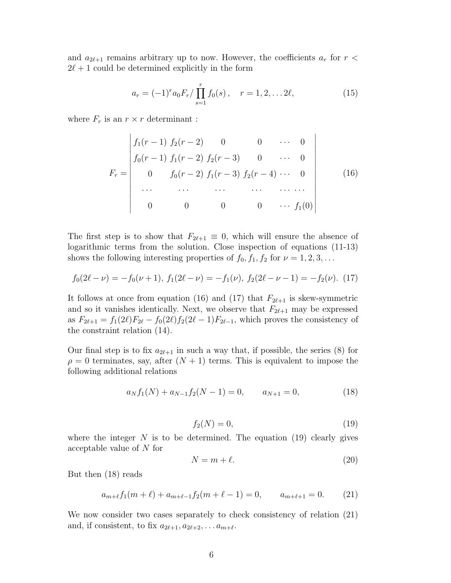and  $a_{2\ell+1}$  remains arbitrary up to now. However, the coefficients  $a_r$  for  $r <$  $2\ell+1$  could be determined explicitly in the form

$$
a_r = (-1)^r a_0 F_r / \prod_{s=1}^r f_0(s) , \quad r = 1, 2, \dots 2\ell,
$$
 (15)

where  $F_r$  is an  $r \times r$  determinant :

$$
F_r = \begin{vmatrix} f_1(r-1) & f_2(r-2) & 0 & 0 & \cdots & 0 \\ f_0(r-1) & f_1(r-2) & f_2(r-3) & 0 & \cdots & 0 \\ 0 & f_0(r-2) & f_1(r-3) & f_2(r-4) & \cdots & 0 \\ \vdots & \vdots & \vdots & \ddots & \vdots & \vdots \\ 0 & 0 & 0 & 0 & \cdots & f_1(0) \end{vmatrix}
$$
 (16)

The first step is to show that  $F_{2\ell+1} \equiv 0$ , which will ensure the absence of logarithmic terms from the solution. Close inspection of equations (11-13) shows the following interesting properties of  $f_0, f_1, f_2$  for  $\nu = 1, 2, 3, \ldots$ 

$$
f_0(2\ell - \nu) = -f_0(\nu + 1), \ f_1(2\ell - \nu) = -f_1(\nu), \ f_2(2\ell - \nu - 1) = -f_2(\nu). \tag{17}
$$

It follows at once from equation (16) and (17) that  $F_{2\ell+1}$  is skew-symmetric and so it vanishes identically. Next, we observe that  $F_{2\ell+1}$  may be expressed as  $F_{2\ell+1} = f_1(2\ell)F_{2\ell} - f_0(2\ell)f_2(2\ell-1)F_{2\ell-1}$ , which proves the consistency of the constraint relation (14).

Our final step is to fix  $a_{2\ell+1}$  in such a way that, if possible, the series (8) for  $\rho = 0$  terminates, say, after  $(N + 1)$  terms. This is equivalent to impose the following additional relations

$$
a_N f_1(N) + a_{N-1} f_2(N-1) = 0, \qquad a_{N+1} = 0,\tag{18}
$$

$$
f_2(N) = 0,\t\t(19)
$$

where the integer  $N$  is to be determined. The equation (19) clearly gives acceptable value of N for

$$
N = m + \ell. \tag{20}
$$

But then (18) reads

$$
a_{m+\ell}f_1(m+\ell) + a_{m+\ell-1}f_2(m+\ell-1) = 0, \qquad a_{m+\ell+1} = 0. \tag{21}
$$

We now consider two cases separately to check consistency of relation (21) and, if consistent, to fix  $a_{2\ell+1}, a_{2\ell+2}, \ldots a_{m+\ell}$ .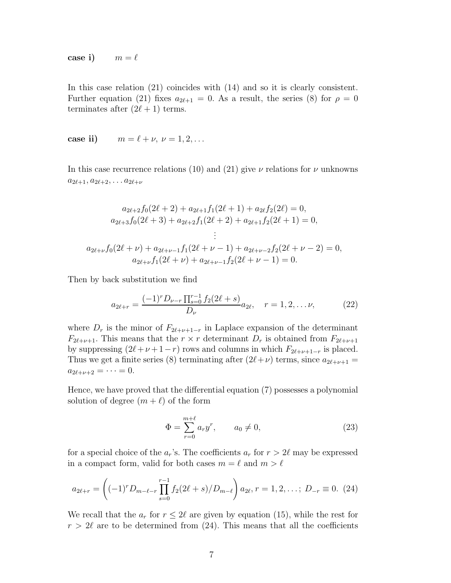case i)  $m = \ell$ 

In this case relation (21) coincides with (14) and so it is clearly consistent. Further equation (21) fixes  $a_{2\ell+1} = 0$ . As a result, the series (8) for  $\rho = 0$ terminates after  $(2\ell+1)$  terms.

case ii)  $m = \ell + \nu, \nu = 1, 2, ...$ 

In this case recurrence relations (10) and (21) give  $\nu$  relations for  $\nu$  unknowns  $a_{2\ell+1}, a_{2\ell+2}, \ldots a_{2\ell+\nu}$ 

$$
a_{2\ell+2}f_0(2\ell+2) + a_{2\ell+1}f_1(2\ell+1) + a_{2\ell}f_2(2\ell) = 0,
$$
  
\n
$$
a_{2\ell+3}f_0(2\ell+3) + a_{2\ell+2}f_1(2\ell+2) + a_{2\ell+1}f_2(2\ell+1) = 0,
$$
  
\n
$$
\vdots
$$
  
\n
$$
a_{2\ell+\nu}f_0(2\ell+\nu) + a_{2\ell+\nu-1}f_1(2\ell+\nu-1) + a_{2\ell+\nu-2}f_2(2\ell+\nu-2) = 0,
$$
  
\n
$$
a_{2\ell+\nu}f_1(2\ell+\nu) + a_{2\ell+\nu-1}f_2(2\ell+\nu-1) = 0.
$$

Then by back substitution we find

$$
a_{2\ell+r} = \frac{(-1)^r D_{\nu-r} \prod_{s=0}^{r-1} f_2(2\ell+s)}{D_{\nu}} a_{2\ell}, \quad r = 1, 2, \dots \nu,
$$
 (22)

where  $D_r$  is the minor of  $F_{2\ell+\nu+1-r}$  in Laplace expansion of the determinant  $F_{2\ell+\nu+1}$ . This means that the  $r \times r$  determinant  $D_r$  is obtained from  $F_{2\ell+\nu+1}$ by suppressing  $(2\ell + \nu + 1 - r)$  rows and columns in which  $F_{2\ell + \nu + 1-r}$  is placed. Thus we get a finite series (8) terminating after  $(2\ell+\nu)$  terms, since  $a_{2\ell+\nu+1}$  =  $a_{2\ell+\nu+2} = \cdots = 0.$ 

Hence, we have proved that the differential equation (7) possesses a polynomial solution of degree  $(m + \ell)$  of the form

$$
\Phi = \sum_{r=0}^{m+\ell} a_r y^r, \qquad a_0 \neq 0,
$$
\n(23)

for a special choice of the  $a_r$ 's. The coefficients  $a_r$  for  $r > 2\ell$  may be expressed in a compact form, valid for both cases  $m = \ell$  and  $m > \ell$ 

$$
a_{2\ell+r} = \left( (-1)^r D_{m-\ell-r} \prod_{s=0}^{r-1} f_2(2\ell+s)/D_{m-\ell} \right) a_{2\ell}, r = 1, 2, \dots; D_{-r} \equiv 0. \tag{24}
$$

We recall that the  $a_r$  for  $r \leq 2\ell$  are given by equation (15), while the rest for  $r > 2\ell$  are to be determined from (24). This means that all the coefficients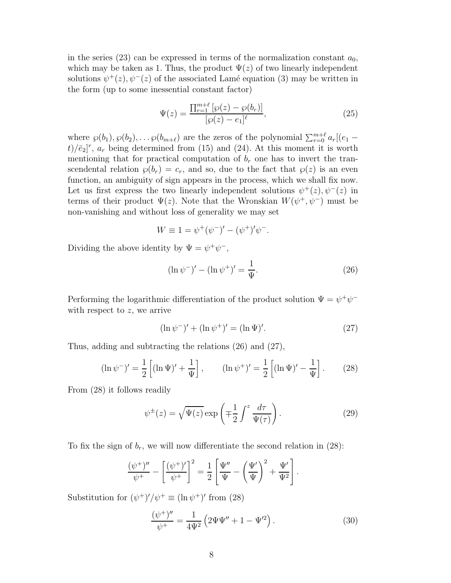in the series (23) can be expressed in terms of the normalization constant  $a_0$ , which may be taken as 1. Thus, the product  $\Psi(z)$  of two linearly independent solutions  $\psi^+(z), \psi^-(z)$  of the associated Lamé equation (3) may be written in the form (up to some inessential constant factor)

$$
\Psi(z) = \frac{\prod_{r=1}^{m+\ell} [\wp(z) - \wp(b_r)]}{[\wp(z) - e_1]^{\ell}},
$$
\n(25)

where  $\wp(b_1), \wp(b_2), \dots, \wp(b_{m+\ell})$  are the zeros of the polynomial  $\sum_{r=0}^{m+\ell} a_r[(e_1 (t)/\bar{e}_2$ <sup>r</sup>,  $a_r$  being determined from (15) and (24). At this moment it is worth mentioning that for practical computation of  $b_r$  one has to invert the transcendental relation  $\wp(b_r) = c_r$ , and so, due to the fact that  $\wp(z)$  is an even function, an ambiguity of sign appears in the process, which we shall fix now. Let us first express the two linearly independent solutions  $\psi^+(z), \psi^-(z)$  in terms of their product  $\Psi(z)$ . Note that the Wronskian  $W(\psi^+,\psi^-)$  must be non-vanishing and without loss of generality we may set

$$
W \equiv 1 = \psi^+(\psi^-)' - (\psi^+)' \psi^-.
$$

Dividing the above identity by  $\Psi = \psi^+ \psi^-,$ 

$$
(\ln \psi^{-})' - (\ln \psi^{+})' = \frac{1}{\Psi}.
$$
\n(26)

Performing the logarithmic differentiation of the product solution  $\Psi = \psi^+ \psi^$ with respect to  $z$ , we arrive

$$
(\ln \psi^{-})' + (\ln \psi^{+})' = (\ln \Psi)'.
$$
 (27)

Thus, adding and subtracting the relations (26) and (27),

$$
(\ln \psi^{-})' = \frac{1}{2} \left[ (\ln \Psi)' + \frac{1}{\Psi} \right], \qquad (\ln \psi^{+})' = \frac{1}{2} \left[ (\ln \Psi)' - \frac{1}{\Psi} \right]. \tag{28}
$$

From (28) it follows readily

$$
\psi^{\pm}(z) = \sqrt{\Psi(z)} \exp\left(\mp\frac{1}{2} \int^{z} \frac{d\tau}{\Psi(\tau)}\right). \tag{29}
$$

To fix the sign of  $b_r$ , we will now differentiate the second relation in (28):

$$
\frac{(\psi^+)^{\prime\prime}}{\psi^+} - \left[\frac{(\psi^+)^{\prime}}{\psi^+}\right]^2 = \frac{1}{2} \left[\frac{\Psi^{\prime\prime}}{\Psi} - \left(\frac{\Psi^{\prime}}{\Psi}\right)^2 + \frac{\Psi^{\prime}}{\Psi^2}\right].
$$

Substitution for  $(\psi^+)'/\psi^+ \equiv (\ln \psi^+)'$  from (28)

$$
\frac{(\psi^+)''}{\psi^+} = \frac{1}{4\Psi^2} \left( 2\Psi\Psi'' + 1 - \Psi'^2 \right).
$$
 (30)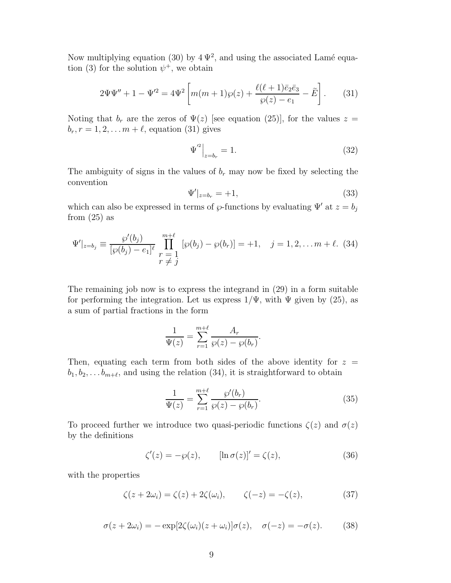Now multiplying equation (30) by  $4\Psi^2$ , and using the associated Lamé equation (3) for the solution  $\psi^+$ , we obtain

$$
2\Psi\Psi'' + 1 - \Psi'^2 = 4\Psi^2 \left[ m(m+1)\wp(z) + \frac{\ell(\ell+1)\bar{e}_2\bar{e}_3}{\wp(z) - e_1} - \tilde{E} \right].
$$
 (31)

Noting that  $b_r$  are the zeros of  $\Psi(z)$  [see equation (25)], for the values  $z =$  $b_r, r = 1, 2, \ldots m + \ell$ , equation (31) gives

$$
\Psi^{'^{2}}\Big|_{z=b_{r}} = 1.
$$
\n(32)

The ambiguity of signs in the values of  $b_r$  may now be fixed by selecting the convention

$$
\Psi'|_{z=b_r} = +1,\t\t(33)
$$

which can also be expressed in terms of  $\wp$ -functions by evaluating  $\Psi'$  at  $z = b_j$ from  $(25)$  as

$$
\Psi'|_{z=b_j} \equiv \frac{\wp'(b_j)}{[\wp(b_j) - e_1]^{\ell}} \prod_{\substack{r = 1 \\ r \neq j}}^{m+\ell} [\wp(b_j) - \wp(b_r)] = +1, \quad j = 1, 2, \dots m + \ell. \tag{34}
$$

The remaining job now is to express the integrand in (29) in a form suitable for performing the integration. Let us express  $1/\Psi$ , with  $\Psi$  given by (25), as a sum of partial fractions in the form

$$
\frac{1}{\Psi(z)} = \sum_{r=1}^{m+\ell} \frac{A_r}{\wp(z) - \wp(b_r)}
$$

Then, equating each term from both sides of the above identity for  $z =$  $b_1, b_2, \ldots b_{m+\ell}$ , and using the relation (34), it is straightforward to obtain

$$
\frac{1}{\Psi(z)} = \sum_{r=1}^{m+\ell} \frac{\wp'(b_r)}{\wp(z) - \wp(b_r)}.
$$
\n(35)

.

To proceed further we introduce two quasi-periodic functions  $\zeta(z)$  and  $\sigma(z)$ by the definitions

$$
\zeta'(z) = -\wp(z), \qquad [\ln \sigma(z)]' = \zeta(z), \tag{36}
$$

with the properties

$$
\zeta(z+2\omega_i) = \zeta(z) + 2\zeta(\omega_i), \qquad \zeta(-z) = -\zeta(z), \tag{37}
$$

$$
\sigma(z+2\omega_i) = -\exp[2\zeta(\omega_i)(z+\omega_i)]\sigma(z), \quad \sigma(-z) = -\sigma(z). \tag{38}
$$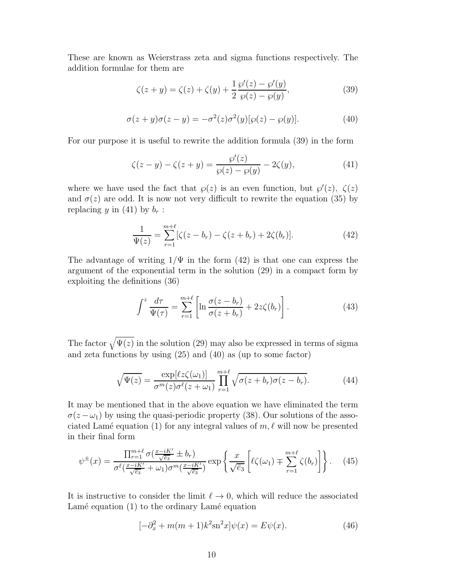These are known as Weierstrass zeta and sigma functions respectively. The addition formulae for them are

$$
\zeta(z + y) = \zeta(z) + \zeta(y) + \frac{1}{2} \frac{\wp'(z) - \wp'(y)}{\wp(z) - \wp(y)},
$$
\n(39)

$$
\sigma(z+y)\sigma(z-y) = -\sigma^2(z)\sigma^2(y)[\wp(z) - \wp(y)].\tag{40}
$$

For our purpose it is useful to rewrite the addition formula (39) in the form

$$
\zeta(z - y) - \zeta(z + y) = \frac{\wp'(z)}{\wp(z) - \wp(y)} - 2\zeta(y),\tag{41}
$$

where we have used the fact that  $\varphi(z)$  is an even function, but  $\varphi'(z)$ ,  $\zeta(z)$ and  $\sigma(z)$  are odd. It is now not very difficult to rewrite the equation (35) by replacing y in (41) by  $b_r$ :

$$
\frac{1}{\Psi(z)} = \sum_{r=1}^{m+\ell} [\zeta(z - b_r) - \zeta(z + b_r) + 2\zeta(b_r)].
$$
\n(42)

The advantage of writing  $1/\Psi$  in the form (42) is that one can express the argument of the exponential term in the solution (29) in a compact form by exploiting the definitions (36)

$$
\int^z \frac{d\tau}{\Psi(\tau)} = \sum_{r=1}^{m+\ell} \left[ \ln \frac{\sigma(z - b_r)}{\sigma(z + b_r)} + 2z\zeta(b_r) \right]. \tag{43}
$$

The factor  $\sqrt{\Psi(z)}$  in the solution (29) may also be expressed in terms of sigma and zeta functions by using (25) and (40) as (up to some factor)

$$
\sqrt{\Psi(z)} = \frac{\exp[\ell z \zeta(\omega_1)]}{\sigma^m(z)\sigma^\ell(z+\omega_1)} \prod_{r=1}^{m+\ell} \sqrt{\sigma(z+b_r)\sigma(z-b_r)}.
$$
(44)

It may be mentioned that in the above equation we have eliminated the term  $\sigma(z-\omega_1)$  by using the quasi-periodic property (38). Our solutions of the associated Lamé equation (1) for any integral values of  $m, \ell$  will now be presented in their final form

$$
\psi^{\pm}(x) = \frac{\prod_{r=1}^{m+\ell} \sigma\left(\frac{x-iK'}{\sqrt{\overline{e}_3}} \pm b_r\right)}{\sigma^{\ell}\left(\frac{x-iK'}{\sqrt{\overline{e}_3}} + \omega_1\right) \sigma^m\left(\frac{x-iK'}{\sqrt{\overline{e}_3}}\right)} \exp\left\{\frac{x}{\sqrt{\overline{e}_3}} \left[\ell\zeta(\omega_1) \mp \sum_{r=1}^{m+\ell} \zeta(b_r)\right] \right\}.
$$
 (45)

It is instructive to consider the limit  $\ell \to 0$ , which will reduce the associated Lamé equation  $(1)$  to the ordinary Lamé equation

$$
[-\partial_x^2 + m(m+1)k^2 \sin^2 x]\psi(x) = E\psi(x).
$$
 (46)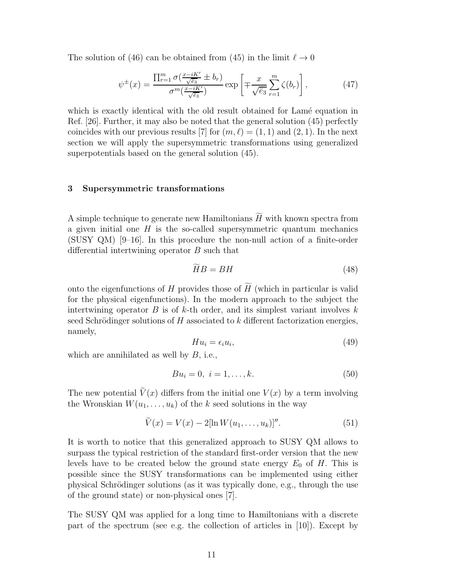The solution of (46) can be obtained from (45) in the limit  $\ell \to 0$ 

$$
\psi^{\pm}(x) = \frac{\prod_{r=1}^{m} \sigma\left(\frac{x-iK'}{\sqrt{\bar{e}_3}} \pm b_r\right)}{\sigma^m\left(\frac{x-iK'}{\sqrt{\bar{e}_3}}\right)} \exp\left[\mp \frac{x}{\sqrt{\bar{e}_3}} \sum_{r=1}^{m} \zeta(b_r)\right],\tag{47}
$$

which is exactly identical with the old result obtained for Lamé equation in Ref. [26]. Further, it may also be noted that the general solution (45) perfectly coincides with our previous results [7] for  $(m, \ell) = (1, 1)$  and  $(2, 1)$ . In the next section we will apply the supersymmetric transformations using generalized superpotentials based on the general solution (45).

## 3 Supersymmetric transformations

A simple technique to generate new Hamiltonians  $\widetilde{H}$  with known spectra from a given initial one  $H$  is the so-called supersymmetric quantum mechanics (SUSY QM) [9–16]. In this procedure the non-null action of a finite-order differential intertwining operator B such that

$$
\widetilde{H}B = BH \tag{48}
$$

onto the eigenfunctions of H provides those of  $\widetilde{H}$  (which in particular is valid for the physical eigenfunctions). In the modern approach to the subject the intertwining operator  $B$  is of  $k$ -th order, and its simplest variant involves  $k$ seed Schrödinger solutions of  $H$  associated to k different factorization energies, namely,

$$
Hu_i = \epsilon_i u_i,\tag{49}
$$

which are annihilated as well by  $B$ , i.e.,

$$
Bu_i = 0, \ i = 1, \dots, k. \tag{50}
$$

The new potential  $\tilde{V}(x)$  differs from the initial one  $V(x)$  by a term involving the Wronskian  $W(u_1, \ldots, u_k)$  of the k seed solutions in the way

$$
\tilde{V}(x) = V(x) - 2[\ln W(u_1, \dots, u_k)]''.
$$
\n(51)

It is worth to notice that this generalized approach to SUSY QM allows to surpass the typical restriction of the standard first-order version that the new levels have to be created below the ground state energy  $E_0$  of H. This is possible since the SUSY transformations can be implemented using either physical Schrödinger solutions (as it was typically done, e.g., through the use of the ground state) or non-physical ones [7].

The SUSY QM was applied for a long time to Hamiltonians with a discrete part of the spectrum (see e.g. the collection of articles in  $[10]$ ). Except by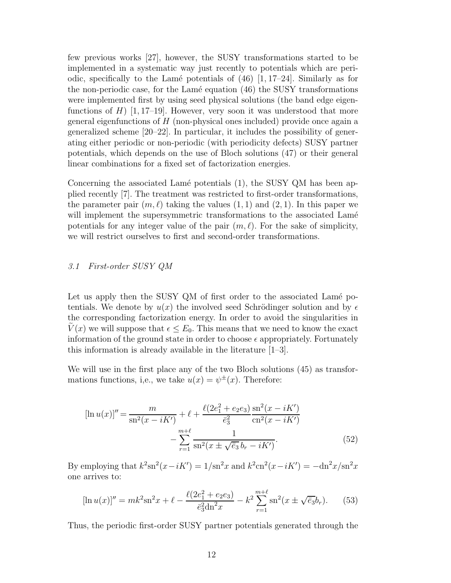few previous works [27], however, the SUSY transformations started to be implemented in a systematic way just recently to potentials which are periodic, specifically to the Lamé potentials of  $(46)$  [1, 17–24]. Similarly as for the non-periodic case, for the Lamé equation  $(46)$  the SUSY transformations were implemented first by using seed physical solutions (the band edge eigenfunctions of  $H$ ) [1, 17–19]. However, very soon it was understood that more general eigenfunctions of  $H$  (non-physical ones included) provide once again a generalized scheme [20–22]. In particular, it includes the possibility of generating either periodic or non-periodic (with periodicity defects) SUSY partner potentials, which depends on the use of Bloch solutions (47) or their general linear combinations for a fixed set of factorization energies.

Concerning the associated Lamé potentials  $(1)$ , the SUSY QM has been applied recently [7]. The treatment was restricted to first-order transformations, the parameter pair  $(m, \ell)$  taking the values  $(1, 1)$  and  $(2, 1)$ . In this paper we will implement the supersymmetric transformations to the associated Lamé potentials for any integer value of the pair  $(m, \ell)$ . For the sake of simplicity, we will restrict ourselves to first and second-order transformations.

### 3.1 First-order SUSY QM

Let us apply then the SUSY QM of first order to the associated Lamé potentials. We denote by  $u(x)$  the involved seed Schrödinger solution and by  $\epsilon$ the corresponding factorization energy. In order to avoid the singularities in  $V(x)$  we will suppose that  $\epsilon \leq E_0$ . This means that we need to know the exact information of the ground state in order to choose  $\epsilon$  appropriately. Fortunately this information is already available in the literature [1–3].

We will use in the first place any of the two Bloch solutions (45) as transformations functions, i,e., we take  $u(x) = \psi^{\pm}(x)$ . Therefore:

$$
[\ln u(x)]'' = \frac{m}{\operatorname{sn}^2(x - iK')} + \ell + \frac{\ell(2e_1^2 + e_2e_3)}{\bar{e}_3^2} \frac{\operatorname{sn}^2(x - iK')}{\operatorname{cn}^2(x - iK')} - \sum_{r=1}^{m+\ell} \frac{1}{\operatorname{sn}^2(x \pm \sqrt{\bar{e}_3} b_r - iK')}.
$$
(52)

By employing that  $k^2 \text{sn}^2(x - iK') = 1/\text{sn}^2 x$  and  $k^2 \text{cn}^2(x - iK') = -\text{dn}^2 x/\text{sn}^2 x$ one arrives to:

$$
[\ln u(x)]'' = mk^2 \operatorname{sn}^2 x + \ell - \frac{\ell(2e_1^2 + e_2 e_3)}{\bar{e}_3^2 \operatorname{dn}^2 x} - k^2 \sum_{r=1}^{m+\ell} \operatorname{sn}^2(x \pm \sqrt{\bar{e}_3} b_r). \tag{53}
$$

Thus, the periodic first-order SUSY partner potentials generated through the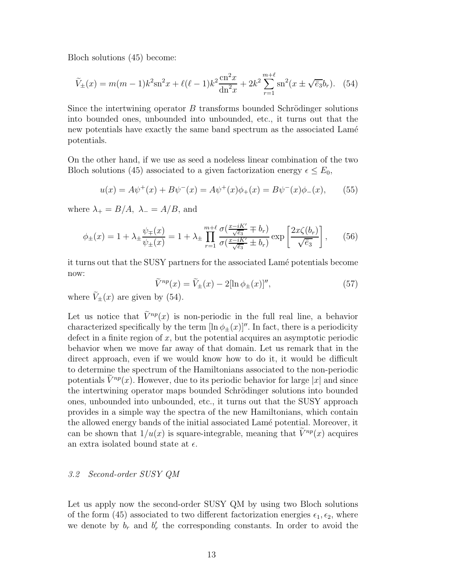Bloch solutions (45) become:

$$
\widetilde{V}_{\pm}(x) = m(m-1)k^2 \operatorname{sn}^2 x + \ell(\ell-1)k^2 \frac{\operatorname{cn}^2 x}{\operatorname{dn}^2 x} + 2k^2 \sum_{r=1}^{m+\ell} \operatorname{sn}^2(x \pm \sqrt{\overline{e}_3} b_r). \tag{54}
$$

Since the intertwining operator  $B$  transforms bounded Schrödinger solutions into bounded ones, unbounded into unbounded, etc., it turns out that the new potentials have exactly the same band spectrum as the associated Lamé potentials.

On the other hand, if we use as seed a nodeless linear combination of the two Bloch solutions (45) associated to a given factorization energy  $\epsilon \leq E_0$ ,

$$
u(x) = A\psi^{+}(x) + B\psi^{-}(x) = A\psi^{+}(x)\phi_{+}(x) = B\psi^{-}(x)\phi_{-}(x), \quad (55)
$$

where  $\lambda_+ = B/A$ ,  $\lambda_- = A/B$ , and

$$
\phi_{\pm}(x) = 1 + \lambda_{\pm} \frac{\psi_{\mp}(x)}{\psi_{\pm}(x)} = 1 + \lambda_{\pm} \prod_{r=1}^{m+\ell} \frac{\sigma(\frac{x-iK'}{\sqrt{\bar{e}_3}} \mp b_r)}{\sigma(\frac{x-iK'}{\sqrt{\bar{e}_3}} \pm b_r)} \exp\left[\frac{2x\zeta(b_r)}{\sqrt{\bar{e}_3}}\right],\tag{56}
$$

it turns out that the SUSY partners for the associated Lam´e potentials become now:

$$
\widetilde{V}^{np}(x) = \widetilde{V}_{\pm}(x) - 2[\ln \phi_{\pm}(x)]'',\tag{57}
$$

where  $\tilde{V}_+(x)$  are given by (54).

Let us notice that  $V^{np}(x)$  is non-periodic in the full real line, a behavior characterized specifically by the term  $[\ln \phi_{\pm}(x)]''$ . In fact, there is a periodicity defect in a finite region of  $x$ , but the potential acquires an asymptotic periodic behavior when we move far away of that domain. Let us remark that in the direct approach, even if we would know how to do it, it would be difficult to determine the spectrum of the Hamiltonians associated to the non-periodic potentials  $V^{np}(x)$ . However, due to its periodic behavior for large |x| and since the intertwining operator maps bounded Schrödinger solutions into bounded ones, unbounded into unbounded, etc., it turns out that the SUSY approach provides in a simple way the spectra of the new Hamiltonians, which contain the allowed energy bands of the initial associated Lamé potential. Moreover, it can be shown that  $1/u(x)$  is square-integrable, meaning that  $\tilde{V}^{np}(x)$  acquires an extra isolated bound state at  $\epsilon$ .

## 3.2 Second-order SUSY QM

Let us apply now the second-order SUSY QM by using two Bloch solutions of the form (45) associated to two different factorization energies  $\epsilon_1, \epsilon_2$ , where we denote by  $b_r$  and  $b'_r$  the corresponding constants. In order to avoid the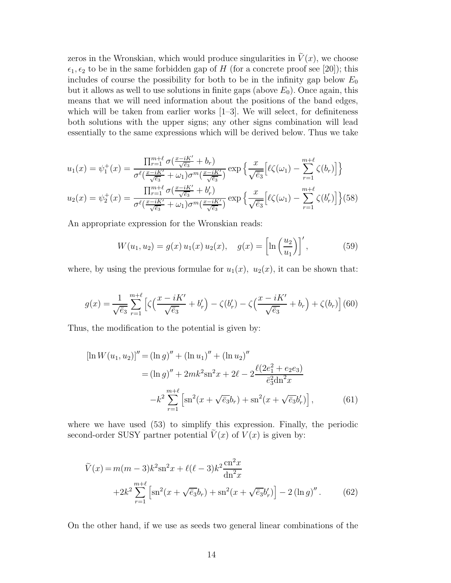zeros in the Wronskian, which would produce singularities in  $\tilde{V}(x)$ , we choose  $\epsilon_1, \epsilon_2$  to be in the same forbidden gap of H (for a concrete proof see [20]); this includes of course the possibility for both to be in the infinity gap below  $E_0$ but it allows as well to use solutions in finite gaps (above  $E_0$ ). Once again, this means that we will need information about the positions of the band edges, which will be taken from earlier works  $[1-3]$ . We will select, for definiteness both solutions with the upper signs; any other signs combination will lead essentially to the same expressions which will be derived below. Thus we take

$$
u_1(x) = \psi_1^+(x) = \frac{\prod_{r=1}^{m+\ell} \sigma(\frac{x-iK'}{\sqrt{\overline{e_3}}} + b_r)}{\sigma^{\ell}(\frac{x-iK'}{\sqrt{\overline{e_3}}} + \omega_1)\sigma^m(\frac{x-iK'}{\sqrt{\overline{e_3}}})} \exp\left\{\frac{x}{\sqrt{\overline{e_3}}} [\ell\zeta(\omega_1) - \sum_{r=1}^{m+\ell} \zeta(b_r)]\right\}
$$

$$
u_2(x) = \psi_2^+(x) = \frac{\prod_{r=1}^{m+\ell} \sigma(\frac{x-iK'}{\sqrt{\overline{e_3}}} + b'_r)}{\sigma^{\ell}(\frac{x-iK'}{\sqrt{\overline{e_3}}} + \omega_1)\sigma^m(\frac{x-iK'}{\sqrt{\overline{e_3}}})} \exp\left\{\frac{x}{\sqrt{\overline{e_3}}} [\ell\zeta(\omega_1) - \sum_{r=1}^{m+\ell} \zeta(b'_r)]\right\} (58)
$$

An appropriate expression for the Wronskian reads:

$$
W(u_1, u_2) = g(x) u_1(x) u_2(x), \quad g(x) = \left[ \ln \left( \frac{u_2}{u_1} \right) \right]', \tag{59}
$$

where, by using the previous formulae for  $u_1(x)$ ,  $u_2(x)$ , it can be shown that:

$$
g(x) = \frac{1}{\sqrt{\bar{e}_3}} \sum_{r=1}^{m+\ell} \left[ \zeta \left( \frac{x - iK'}{\sqrt{\bar{e}_3}} + b'_r \right) - \zeta (b'_r) - \zeta \left( \frac{x - iK'}{\sqrt{\bar{e}_3}} + b_r \right) + \zeta (b_r) \right] (60)
$$

Thus, the modification to the potential is given by:

$$
[\ln W(u_1, u_2)]'' = (\ln g)'' + (\ln u_1)'' + (\ln u_2)''
$$
  
=  $(\ln g)'' + 2mk^2 \operatorname{sn}^2 x + 2\ell - 2 \frac{\ell(2e_1^2 + e_2e_3)}{e_3^2 \operatorname{dn}^2 x}$   
 $-k^2 \sum_{r=1}^{m+\ell} \left[ \operatorname{sn}^2(x + \sqrt{e_3}b_r) + \operatorname{sn}^2(x + \sqrt{e_3}b_r') \right],$  (61)

where we have used (53) to simplify this expression. Finally, the periodic second-order SUSY partner potential  $V(x)$  of  $V(x)$  is given by:

$$
\tilde{V}(x) = m(m-3)k^{2} \operatorname{sn}^{2} x + \ell(\ell-3)k^{2} \frac{\operatorname{cn}^{2} x}{\operatorname{dn}^{2} x} + 2k^{2} \sum_{r=1}^{m+\ell} \left[ \operatorname{sn}^{2}(x + \sqrt{\overline{e}_{3}}b_{r}) + \operatorname{sn}^{2}(x + \sqrt{\overline{e}_{3}}b_{r}') \right] - 2(\ln g)''.
$$
\n(62)

On the other hand, if we use as seeds two general linear combinations of the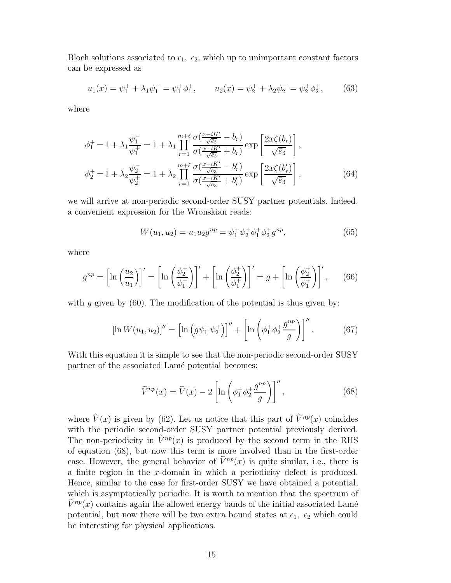Bloch solutions associated to  $\epsilon_1$ ,  $\epsilon_2$ , which up to unimportant constant factors can be expressed as

$$
u_1(x) = \psi_1^+ + \lambda_1 \psi_1^- = \psi_1^+ \phi_1^+, \qquad u_2(x) = \psi_2^+ + \lambda_2 \psi_2^- = \psi_2^+ \phi_2^+, \tag{63}
$$

where

$$
\phi_1^+ = 1 + \lambda_1 \frac{\psi_1^-}{\psi_1^+} = 1 + \lambda_1 \prod_{r=1}^{m+\ell} \frac{\sigma(\frac{x - iK'}{\sqrt{\bar{e}_3}} - b_r)}{\sigma(\frac{x - iK'}{\sqrt{\bar{e}_3}} + b_r)} \exp\left[\frac{2x\zeta(b_r)}{\sqrt{\bar{e}_3}}\right],
$$
  

$$
\phi_2^+ = 1 + \lambda_2 \frac{\psi_2^-}{\psi_2^+} = 1 + \lambda_2 \prod_{r=1}^{m+\ell} \frac{\sigma(\frac{x - iK'}{\sqrt{\bar{e}_3}} - b'_r)}{\sigma(\frac{x - iK'}{\sqrt{\bar{e}_3}} + b'_r)} \exp\left[\frac{2x\zeta(b'_r)}{\sqrt{\bar{e}_3}}\right],
$$
(64)

we will arrive at non-periodic second-order SUSY partner potentials. Indeed, a convenient expression for the Wronskian reads:

$$
W(u_1, u_2) = u_1 u_2 g^{np} = \psi_1^+ \psi_2^+ \phi_1^+ \phi_2^+ g^{np}, \tag{65}
$$

where

$$
g^{np} = \left[\ln\left(\frac{u_2}{u_1}\right)\right]' = \left[\ln\left(\frac{\psi_2^+}{\psi_1^+}\right)\right]' + \left[\ln\left(\frac{\phi_2^+}{\phi_1^+}\right)\right]' = g + \left[\ln\left(\frac{\phi_2^+}{\phi_1^+}\right)\right]',\tag{66}
$$

with g given by  $(60)$ . The modification of the potential is thus given by:

$$
[\ln W(u_1, u_2)]'' = [\ln (g\psi_1^+ \psi_2^+)]'' + [\ln (\phi_1^+ \phi_2^+ \frac{g^{np}}{g})]''.
$$
 (67)

With this equation it is simple to see that the non-periodic second-order SUSY partner of the associated Lamé potential becomes:

$$
\widetilde{V}^{np}(x) = \widetilde{V}(x) - 2\left[\ln\left(\phi_1^+ \phi_2^+ \frac{g^{np}}{g}\right)\right]''\,,\tag{68}
$$

where  $\tilde{V}(x)$  is given by (62). Let us notice that this part of  $\tilde{V}^{np}(x)$  coincides with the periodic second-order SUSY partner potential previously derived. The non-periodicity in  $\tilde{V}^{np}(x)$  is produced by the second term in the RHS of equation (68), but now this term is more involved than in the first-order case. However, the general behavior of  $\tilde{V}^{np}(x)$  is quite similar, i.e., there is a finite region in the x-domain in which a periodicity defect is produced. Hence, similar to the case for first-order SUSY we have obtained a potential, which is asymptotically periodic. It is worth to mention that the spectrum of  $\tilde{V}^{np}(x)$  contains again the allowed energy bands of the initial associated Lamé potential, but now there will be two extra bound states at  $\epsilon_1$ ,  $\epsilon_2$  which could be interesting for physical applications.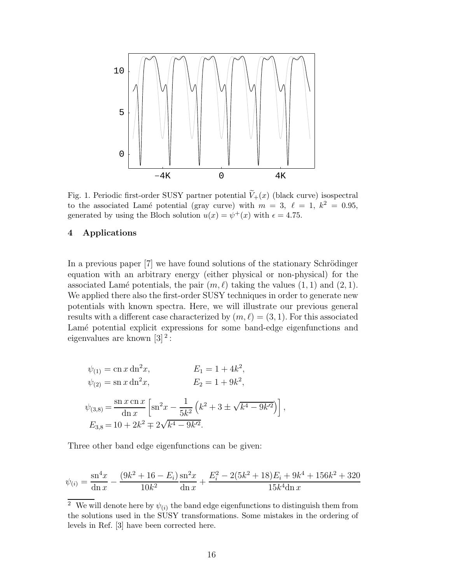

Fig. 1. Periodic first-order SUSY partner potential  $\widetilde{V}_+(x)$  (black curve) isospectral to the associated Lamé potential (gray curve) with  $m = 3, \ell = 1, k^2 = 0.95$ , generated by using the Bloch solution  $u(x) = \psi^+(x)$  with  $\epsilon = 4.75$ .

## 4 Applications

In a previous paper  $[7]$  we have found solutions of the stationary Schrödinger equation with an arbitrary energy (either physical or non-physical) for the associated Lamé potentials, the pair  $(m, \ell)$  taking the values  $(1, 1)$  and  $(2, 1)$ . We applied there also the first-order SUSY techniques in order to generate new potentials with known spectra. Here, we will illustrate our previous general results with a different case characterized by  $(m, \ell) = (3, 1)$ . For this associated Lamé potential explicit expressions for some band-edge eigenfunctions and eigenvalues are known  $[3]^2$ :

$$
\psi_{(1)} = \text{cn } x \, \text{dn}^2 x, \qquad E_1 = 1 + 4k^2,
$$
  
\n
$$
\psi_{(2)} = \text{sn } x \, \text{dn}^2 x, \qquad E_2 = 1 + 9k^2,
$$
  
\n
$$
\psi_{(3,8)} = \frac{\text{sn } x \, \text{cn } x}{\text{dn } x} \left[ \text{sn}^2 x - \frac{1}{5k^2} \left( k^2 + 3 \pm \sqrt{k^4 - 9k^2} \right) \right],
$$
  
\n
$$
E_{3,8} = 10 + 2k^2 \mp 2\sqrt{k^4 - 9k^2}.
$$

Three other band edge eigenfunctions can be given:

$$
\psi_{(i)} = \frac{\text{sn}^4 x}{\text{dn } x} - \frac{(9k^2 + 16 - E_i)}{10k^2} \frac{\text{sn}^2 x}{\text{dn } x} + \frac{E_i^2 - 2(5k^2 + 18)E_i + 9k^4 + 156k^2 + 320}{15k^4 \text{dn } x}
$$

<sup>&</sup>lt;sup>2</sup> We will denote here by  $\psi_{(i)}$  the band edge eigenfunctions to distinguish them from the solutions used in the SUSY transformations. Some mistakes in the ordering of levels in Ref. [3] have been corrected here.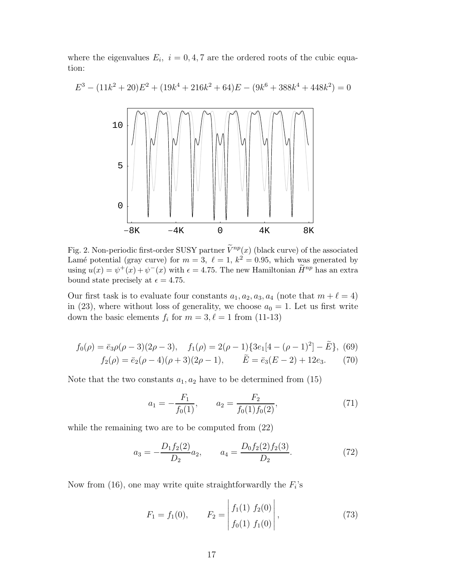where the eigenvalues  $E_i$ ,  $i = 0, 4, 7$  are the ordered roots of the cubic equation:

 $= 0$ 

 $E^3$ 

$$
3 - (11k^{2} + 20)E^{2} + (19k^{4} + 216k^{2} + 64)E - (9k^{6} + 388k^{4} + 448k^{2})
$$
  

$$
10
$$
  

$$
5
$$
  

$$
0
$$
  

$$
0
$$
  

$$
0
$$
  

$$
0
$$
  

$$
0
$$
  

$$
0
$$
  

$$
0
$$
  

$$
0
$$
  

$$
0
$$
  

$$
0
$$
  

$$
0
$$
  

$$
0
$$
  

$$
0
$$
  

$$
0
$$
  

$$
0
$$
  

$$
0
$$
  

$$
0
$$
  

$$
0
$$
  

$$
0
$$
  

$$
0
$$
  

$$
0
$$
  

$$
0
$$
  

$$
0
$$
  

$$
0
$$
  

$$
0
$$
  

$$
0
$$
  

$$
0
$$
  

$$
0
$$
  

$$
0
$$
  

$$
0
$$
  

$$
0
$$
  

$$
0
$$
  

$$
0
$$
  

$$
0
$$
  

$$
0
$$
  

$$
0
$$
  

$$
0
$$
  

$$
0
$$
  

$$
0
$$
  

$$
0
$$
  

$$
0
$$
  

$$
0
$$
  

$$
0
$$
  

$$
0
$$
  

$$
0
$$
  

$$
0
$$
  

$$
0
$$
  

$$
0
$$
  

$$
0
$$
  

$$
0
$$
  

$$
0
$$
  

$$
0
$$
  

$$
0
$$
  

$$
0
$$
  

$$
0
$$
  

$$
0
$$
  

$$
0
$$
  

$$
0
$$
  

$$
0
$$
  

$$
0
$$
  

Fig. 2. Non-periodic first-order SUSY partner  $\widetilde{V}^{np}(x)$  (black curve) of the associated Lamé potential (gray curve) for  $m = 3$ ,  $\ell = 1$ ,  $k^2 = 0.95$ , which was generated by using  $u(x) = \psi^+(x) + \psi^-(x)$  with  $\epsilon = 4.75$ . The new Hamiltonian  $\tilde{H}^{np}$  has an extra bound state precisely at  $\epsilon = 4.75$ .

Our first task is to evaluate four constants  $a_1, a_2, a_3, a_4$  (note that  $m + \ell = 4$ ) in (23), where without loss of generality, we choose  $a_0 = 1$ . Let us first write down the basic elements  $f_i$  for  $m = 3, \ell = 1$  from (11-13)

$$
f_0(\rho) = \bar{e}_3 \rho(\rho - 3)(2\rho - 3), \quad f_1(\rho) = 2(\rho - 1)\{3e_1[4 - (\rho - 1)^2] - \tilde{E}\}, \tag{69}
$$

$$
f_2(\rho) = \bar{e}_2(\rho - 4)(\rho + 3)(2\rho - 1), \qquad \tilde{E} = \bar{e}_3(E - 2) + 12e_3. \tag{70}
$$

Note that the two constants  $a_1, a_2$  have to be determined from (15)

$$
a_1 = -\frac{F_1}{f_0(1)}, \qquad a_2 = \frac{F_2}{f_0(1)f_0(2)}, \tag{71}
$$

while the remaining two are to be computed from (22)

$$
a_3 = -\frac{D_1 f_2(2)}{D_2} a_2, \qquad a_4 = \frac{D_0 f_2(2) f_2(3)}{D_2}.
$$
 (72)

Now from  $(16)$ , one may write quite straightforwardly the  $F_i$ 's

$$
F_1 = f_1(0), \qquad F_2 = \left| \frac{f_1(1) \ f_2(0)}{f_0(1) \ f_1(0)} \right|,
$$
\n(73)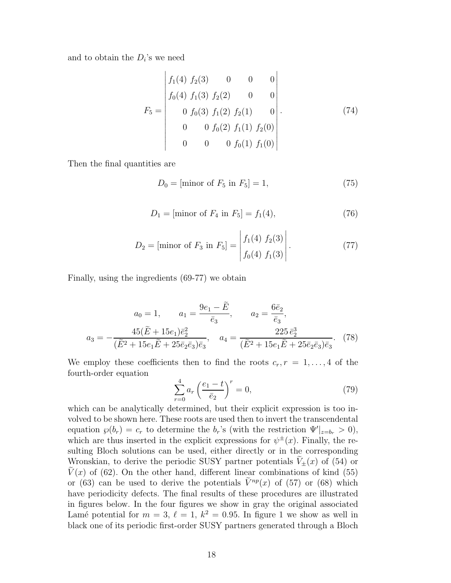and to obtain the  $D_i$ 's we need

$$
F_5 = \begin{vmatrix} f_1(4) & f_2(3) & 0 & 0 & 0 \ f_0(4) & f_1(3) & f_2(2) & 0 & 0 \ 0 & f_0(3) & f_1(2) & f_2(1) & 0 \ 0 & 0 & f_0(2) & f_1(1) & f_2(0) \ 0 & 0 & 0 & f_0(1) & f_1(0) \end{vmatrix}.
$$
 (74)

Then the final quantities are

$$
D_0 = [\text{minor of } F_5 \text{ in } F_5] = 1,\tag{75}
$$

$$
D_1 = [\text{minor of } F_4 \text{ in } F_5] = f_1(4),\tag{76}
$$

$$
D_2 = \text{[minor of } F_3 \text{ in } F_5 \text{]} = \begin{vmatrix} f_1(4) & f_2(3) \\ f_0(4) & f_1(3) \end{vmatrix} . \tag{77}
$$

Finally, using the ingredients (69-77) we obtain

$$
a_0 = 1, \qquad a_1 = \frac{9e_1 - \tilde{E}}{\bar{e}_3}, \qquad a_2 = \frac{6\bar{e}_2}{\bar{e}_3},
$$

$$
a_3 = -\frac{45(\tilde{E} + 15e_1)\bar{e}_2^2}{(\tilde{E}^2 + 15e_1\tilde{E} + 25\bar{e}_2\bar{e}_3)\bar{e}_3}, \qquad a_4 = \frac{225\,\bar{e}_2^3}{(\tilde{E}^2 + 15e_1\tilde{E} + 25\bar{e}_2\bar{e}_3)\bar{e}_3}.\tag{78}
$$

We employ these coefficients then to find the roots  $c_r, r = 1, \ldots, 4$  of the fourth-order equation

$$
\sum_{r=0}^{4} a_r \left(\frac{e_1 - t}{\bar{e}_2}\right)^r = 0,
$$
\n(79)

which can be analytically determined, but their explicit expression is too involved to be shown here. These roots are used then to invert the transcendental equation  $\wp(b_r) = c_r$  to determine the  $b_r$ 's (with the restriction  $\Psi'|_{z=b_r} > 0$ ), which are thus inserted in the explicit expressions for  $\psi^{\pm}(x)$ . Finally, the resulting Bloch solutions can be used, either directly or in the corresponding Wronskian, to derive the periodic SUSY partner potentials  $V_{\pm}(x)$  of (54) or  $\tilde{V}(x)$  of (62). On the other hand, different linear combinations of kind (55) or (63) can be used to derive the potentials  $\tilde{V}^{np}(x)$  of (57) or (68) which have periodicity defects. The final results of these procedures are illustrated in figures below. In the four figures we show in gray the original associated Lamé potential for  $m = 3$ ,  $\ell = 1$ ,  $k^2 = 0.95$ . In figure 1 we show as well in black one of its periodic first-order SUSY partners generated through a Bloch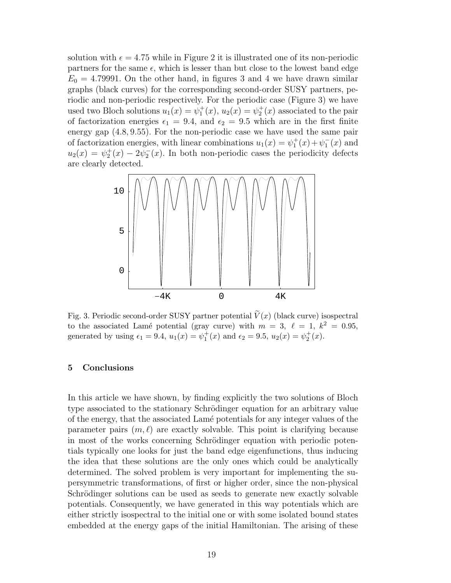solution with  $\epsilon = 4.75$  while in Figure 2 it is illustrated one of its non-periodic partners for the same  $\epsilon$ , which is lesser than but close to the lowest band edge  $E_0 = 4.79991$ . On the other hand, in figures 3 and 4 we have drawn similar graphs (black curves) for the corresponding second-order SUSY partners, periodic and non-periodic respectively. For the periodic case (Figure 3) we have used two Bloch solutions  $u_1(x) = \psi_1^+(x)$ ,  $u_2(x) = \psi_2^+(x)$  associated to the pair of factorization energies  $\epsilon_1 = 9.4$ , and  $\epsilon_2 = 9.5$  which are in the first finite energy gap (4.8, 9.55). For the non-periodic case we have used the same pair of factorization energies, with linear combinations  $u_1(x) = \psi_1^+(x) + \psi_1^-(x)$  and  $u_2(x) = \psi_2^+(x) - 2\psi_2^-(x)$ . In both non-periodic cases the periodicity defects are clearly detected.



Fig. 3. Periodic second-order SUSY partner potential  $\widetilde{V}(x)$  (black curve) isospectral to the associated Lamé potential (gray curve) with  $m = 3$ ,  $\ell = 1$ ,  $k^2 = 0.95$ , generated by using  $\epsilon_1 = 9.4$ ,  $u_1(x) = \psi_1^+(x)$  and  $\epsilon_2 = 9.5$ ,  $u_2(x) = \psi_2^+(x)$ .

### 5 Conclusions

In this article we have shown, by finding explicitly the two solutions of Bloch type associated to the stationary Schrödinger equation for an arbitrary value of the energy, that the associated Lam´e potentials for any integer values of the parameter pairs  $(m, \ell)$  are exactly solvable. This point is clarifying because in most of the works concerning Schrödinger equation with periodic potentials typically one looks for just the band edge eigenfunctions, thus inducing the idea that these solutions are the only ones which could be analytically determined. The solved problem is very important for implementing the supersymmetric transformations, of first or higher order, since the non-physical Schrödinger solutions can be used as seeds to generate new exactly solvable potentials. Consequently, we have generated in this way potentials which are either strictly isospectral to the initial one or with some isolated bound states embedded at the energy gaps of the initial Hamiltonian. The arising of these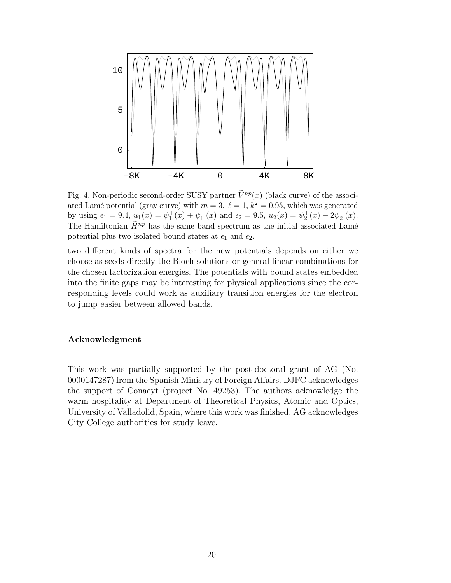

Fig. 4. Non-periodic second-order SUSY partner  $\tilde{V}^{np}(x)$  (black curve) of the associated Lamé potential (gray curve) with  $m = 3$ ,  $\ell = 1$ ,  $k^2 = 0.95$ , which was generated by using  $\epsilon_1 = 9.4$ ,  $\underline{u}_1(x) = \psi_1^+(x) + \psi_1^-(x)$  and  $\epsilon_2 = 9.5$ ,  $u_2(x) = \psi_2^+(x) - 2\psi_2^-(x)$ . The Hamiltonian  $\widetilde{H}^{np}$  has the same band spectrum as the initial associated Lamé potential plus two isolated bound states at  $\epsilon_1$  and  $\epsilon_2$ .

two different kinds of spectra for the new potentials depends on either we choose as seeds directly the Bloch solutions or general linear combinations for the chosen factorization energies. The potentials with bound states embedded into the finite gaps may be interesting for physical applications since the corresponding levels could work as auxiliary transition energies for the electron to jump easier between allowed bands.

## Acknowledgment

This work was partially supported by the post-doctoral grant of AG (No. 0000147287) from the Spanish Ministry of Foreign Affairs. DJFC acknowledges the support of Conacyt (project No. 49253). The authors acknowledge the warm hospitality at Department of Theoretical Physics, Atomic and Optics, University of Valladolid, Spain, where this work was finished. AG acknowledges City College authorities for study leave.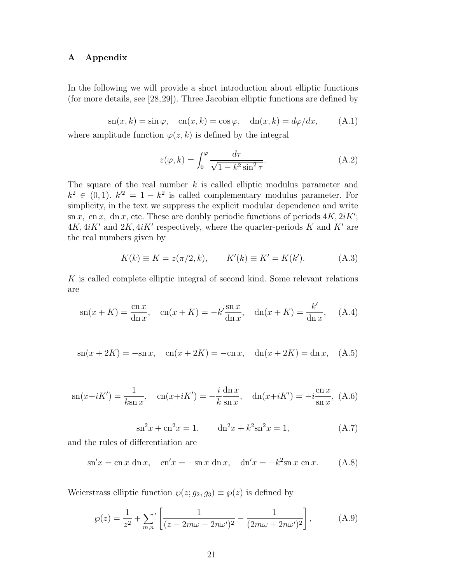# A Appendix

In the following we will provide a short introduction about elliptic functions (for more details, see [28,29]). Three Jacobian elliptic functions are defined by

 $\operatorname{sn}(x, k) = \sin \varphi$ ,  $\operatorname{cn}(x, k) = \cos \varphi$ ,  $\operatorname{dn}(x, k) = d\varphi/dx$ , (A.1)

where amplitude function  $\varphi(z, k)$  is defined by the integral

$$
z(\varphi, k) = \int_0^{\varphi} \frac{d\tau}{\sqrt{1 - k^2 \sin^2 \tau}}.
$$
 (A.2)

The square of the real number  $k$  is called elliptic modulus parameter and  $k^2 \in (0,1)$ .  $k'^2 = 1 - k^2$  is called complementary modulus parameter. For simplicity, in the text we suppress the explicit modular dependence and write sn x, cn x, dn x, etc. These are doubly periodic functions of periods  $4K, 2iK'$ ;  $4K, 4iK'$  and  $2K, 4iK'$  respectively, where the quarter-periods K and K' are the real numbers given by

$$
K(k) \equiv K = z(\pi/2, k), \qquad K'(k) \equiv K' = K(k').
$$
 (A.3)

 $K$  is called complete elliptic integral of second kind. Some relevant relations are

$$
\operatorname{sn}(x+K) = \frac{\operatorname{cn} x}{\operatorname{dn} x}, \quad \operatorname{cn}(x+K) = -k'\frac{\operatorname{sn} x}{\operatorname{dn} x}, \quad \operatorname{dn}(x+K) = \frac{k'}{\operatorname{dn} x}, \quad \text{(A.4)}
$$

$$
\operatorname{sn}(x + 2K) = -\operatorname{sn} x
$$
,  $\operatorname{cn}(x + 2K) = -\operatorname{cn} x$ ,  $\operatorname{dn}(x + 2K) = \operatorname{dn} x$ , (A.5)

$$
\mathrm{sn}(x+iK') = \frac{1}{k\mathrm{sn}\,x}, \quad \mathrm{cn}(x+iK') = -\frac{i}{k}\frac{\mathrm{dn}\,x}{\mathrm{sn}\,x}, \quad \mathrm{dn}(x+iK') = -i\frac{\mathrm{cn}\,x}{\mathrm{sn}\,x}, \ (A.6)
$$

$$
sn2x + cn2x = 1, \t dn2x + k2sn2x = 1,
$$
 (A.7)

and the rules of differentiation are

 $\sin x = \csc x \, \mathrm{dn} \, x$ ,  $\csc x = -\sin x \, \mathrm{dn} \, x$ ,  $\sin x = -k^2 \sin x \, \mathrm{cn} \, x$ . (A.8)

Weierstrass elliptic function  $\wp(z; g_2, g_3) \equiv \wp(z)$  is defined by

$$
\wp(z) = \frac{1}{z^2} + \sum_{m,n'} \left[ \frac{1}{(z - 2m\omega - 2n\omega')^2} - \frac{1}{(2m\omega + 2n\omega')^2} \right],
$$
 (A.9)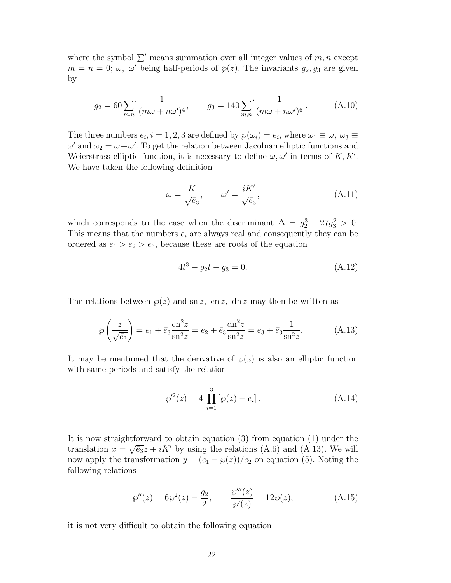where the symbol  $\Sigma'$  means summation over all integer values of m, n except  $m = n = 0$ ;  $\omega$ ,  $\omega'$  being half-periods of  $\wp(z)$ . The invariants  $g_2, g_3$  are given by

$$
g_2 = 60 \sum_{m,n} \left( \frac{1}{(m\omega + n\omega')^4}, \right) \qquad g_3 = 140 \sum_{m,n} \left( \frac{1}{(m\omega + n\omega')^6} \right). \tag{A.10}
$$

The three numbers  $e_i$ ,  $i = 1, 2, 3$  are defined by  $\wp(\omega_i) = e_i$ , where  $\omega_1 \equiv \omega$ ,  $\omega_3 \equiv \omega$  $\omega'$  and  $\omega_2 = \omega + \omega'$ . To get the relation between Jacobian elliptic functions and Weierstrass elliptic function, it is necessary to define  $\omega, \omega'$  in terms of K, K'. We have taken the following definition

$$
\omega = \frac{K}{\sqrt{\bar{e}_3}}, \qquad \omega' = \frac{iK'}{\sqrt{\bar{e}_3}}, \tag{A.11}
$$

which corresponds to the case when the discriminant  $\Delta = g_2^3 - 27g_3^2 > 0$ . This means that the numbers  $e_i$  are always real and consequently they can be ordered as  $e_1 > e_2 > e_3$ , because these are roots of the equation

$$
4t^3 - g_2t - g_3 = 0.\t\t(A.12)
$$

The relations between  $\varphi(z)$  and sn z, cn z, dn z may then be written as

$$
\wp\left(\frac{z}{\sqrt{\bar{e}_3}}\right) = e_1 + \bar{e}_3 \frac{\text{cn}^2 z}{\text{sn}^2 z} = e_2 + \bar{e}_3 \frac{\text{dn}^2 z}{\text{sn}^2 z} = e_3 + \bar{e}_3 \frac{1}{\text{sn}^2 z}.
$$
 (A.13)

It may be mentioned that the derivative of  $\wp(z)$  is also an elliptic function with same periods and satisfy the relation

$$
\wp'^2(z) = 4 \prod_{i=1}^3 [\wp(z) - e_i]. \tag{A.14}
$$

It is now straightforward to obtain equation (3) from equation (1) under the translation  $x = \sqrt{\overline{e}_3}z + iK'$  by using the relations (A.6) and (A.13). We will now apply the transformation  $y = (e_1 - \varphi(z))/\bar{e}_2$  on equation (5). Noting the following relations

$$
\wp''(z) = 6\wp^2(z) - \frac{g_2}{2}, \qquad \frac{\wp'''(z)}{\wp'(z)} = 12\wp(z), \tag{A.15}
$$

it is not very difficult to obtain the following equation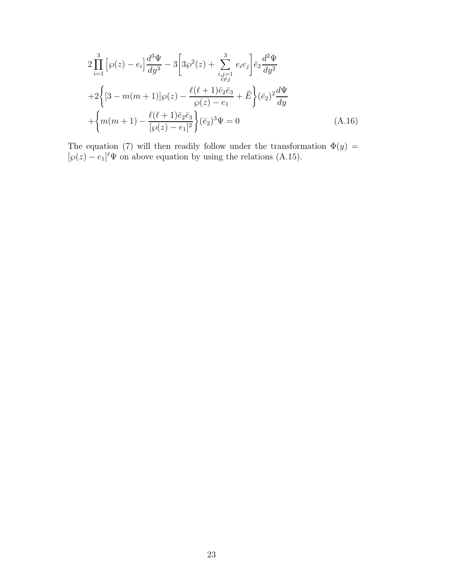$$
2\prod_{i=1}^{3} \left[ \wp(z) - e_i \right] \frac{d^3 \Psi}{dy^3} - 3 \left[ 3\wp^2(z) + \sum_{\substack{i,j=1 \\ i \neq j}}^{3} e_i e_j \right] \bar{e}_2 \frac{d^2 \Psi}{dy^2} + 2 \left\{ \left[ 3 - m(m+1) \right] \wp(z) - \frac{\ell(\ell+1)\bar{e}_2 \bar{e}_3}{\wp(z) - e_1} + \tilde{E} \right\} (\bar{e}_2)^2 \frac{d \Psi}{dy} + \left\{ m(m+1) - \frac{\ell(\ell+1)\bar{e}_2 \bar{e}_3}{\left[ \wp(z) - e_1 \right]^2} \right\} (\bar{e}_2)^3 \Psi = 0
$$
\n(A.16)

The equation (7) will then readily follow under the transformation  $\Phi(y)$  =  $[\wp(z) - e_1]^{\ell} \Psi$  on above equation by using the relations (A.15).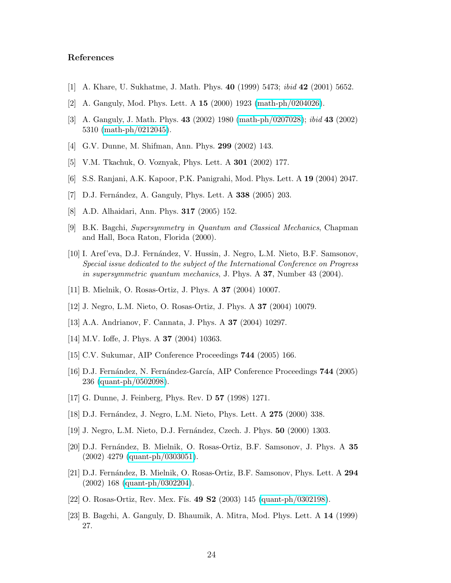## References

- [1] A. Khare, U. Sukhatme, J. Math. Phys. 40 (1999) 5473; ibid 42 (2001) 5652.
- [2] A. Ganguly, Mod. Phys. Lett. A 15 (2000) 1923 [\(math-ph/0204026\)](http://arxiv.org/abs/math-ph/0204026).
- [3] A. Ganguly, J. Math. Phys. 43 (2002) 1980 [\(math-ph/0207028\)](http://arxiv.org/abs/math-ph/0207028); ibid 43 (2002) 5310 [\(math-ph/0212045\)](http://arxiv.org/abs/math-ph/0212045).
- [4] G.V. Dunne, M. Shifman, Ann. Phys. 299 (2002) 143.
- [5] V.M. Tkachuk, O. Voznyak, Phys. Lett. A 301 (2002) 177.
- [6] S.S. Ranjani, A.K. Kapoor, P.K. Panigrahi, Mod. Phys. Lett. A 19 (2004) 2047.
- [7] D.J. Fernández, A. Ganguly, Phys. Lett. A 338 (2005) 203.
- [8] A.D. Alhaidari, Ann. Phys. 317 (2005) 152.
- [9] B.K. Bagchi, Supersymmetry in Quantum and Classical Mechanics, Chapman and Hall, Boca Raton, Florida (2000).
- [10] I. Aref'eva, D.J. Fern´andez, V. Hussin, J. Negro, L.M. Nieto, B.F. Samsonov, Special issue dedicated to the subject of the International Conference on Progress in supersymmetric quantum mechanics, J. Phys. A 37, Number 43 (2004).
- [11] B. Mielnik, O. Rosas-Ortiz, J. Phys. A 37 (2004) 10007.
- [12] J. Negro, L.M. Nieto, O. Rosas-Ortiz, J. Phys. A 37 (2004) 10079.
- [13] A.A. Andrianov, F. Cannata, J. Phys. A 37 (2004) 10297.
- [14] M.V. Ioffe, J. Phys. A 37 (2004) 10363.
- [15] C.V. Sukumar, AIP Conference Proceedings 744 (2005) 166.
- [16] D.J. Fernández, N. Fernández-García, AIP Conference Proceedings 744 (2005) 236 [\(quant-ph/0502098\)](http://arxiv.org/abs/quant-ph/0502098).
- [17] G. Dunne, J. Feinberg, Phys. Rev. D 57 (1998) 1271.
- [18] D.J. Fernández, J. Negro, L.M. Nieto, Phys. Lett. A 275 (2000) 338.
- [19] J. Negro, L.M. Nieto, D.J. Fernández, Czech. J. Phys. **50** (2000) 1303.
- [20] D.J. Fernández, B. Mielnik, O. Rosas-Ortiz, B.F. Samsonov, J. Phys. A 35 (2002) 4279 [\(quant-ph/0303051\)](http://arxiv.org/abs/quant-ph/0303051).
- [21] D.J. Fernández, B. Mielnik, O. Rosas-Ortiz, B.F. Samsonov, Phys. Lett. A 294 (2002) 168 [\(quant-ph/0302204\)](http://arxiv.org/abs/quant-ph/0302204).
- [22] O. Rosas-Ortiz, Rev. Mex. Fís. 49 S2 (2003) 145 [\(quant-ph/0302198\)](http://arxiv.org/abs/quant-ph/0302198).
- [23] B. Bagchi, A. Ganguly, D. Bhaumik, A. Mitra, Mod. Phys. Lett. A 14 (1999) 27.